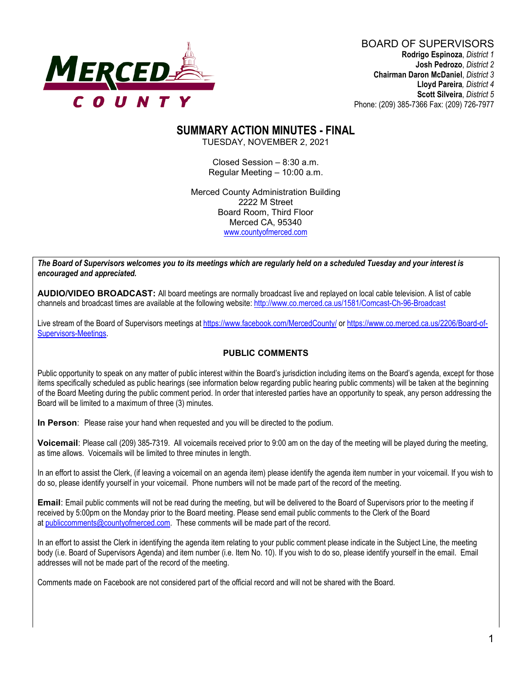

#### BOARD OF SUPERVISORS **Rodrigo Espinoza**, *District 1* **Josh Pedrozo**, *District 2*  **Chairman Daron McDaniel**, *District 3* **Lloyd Pareira***, District 4*  **Scott Silveira**, *District 5* Phone: (209) 385-7366 Fax: (209) 726-7977

# **SUMMARY ACTION MINUTES - FINAL**

TUESDAY, NOVEMBER 2, 2021

Closed Session – 8:30 a.m. Regular Meeting – 10:00 a.m.

Merced County Administration Building 2222 M Street Board Room, Third Floor Merced CA, 95340 www.countyofmerced.com

*The Board of Supervisors welcomes you to its meetings which are regularly held on a scheduled Tuesday and your interest is encouraged and appreciated.*

**AUDIO/VIDEO BROADCAST:** All board meetings are normally broadcast live and replayed on local cable television. A list of cable channels and broadcast times are available at the following website[: http://www.co.merced.ca.us/1581/Comcast-Ch-96-Broadcast](http://www.co.merced.ca.us/1581/Comcast-Ch-96-Broadcast)

Live stream of the Board of Supervisors meetings at<https://www.facebook.com/MercedCounty/> o[r https://www.co.merced.ca.us/2206/Board-of-](https://www.co.merced.ca.us/2206/Board-of-Supervisors-Meetings)[Supervisors-Meetings.](https://www.co.merced.ca.us/2206/Board-of-Supervisors-Meetings)

#### **PUBLIC COMMENTS**

Public opportunity to speak on any matter of public interest within the Board's jurisdiction including items on the Board's agenda, except for those items specifically scheduled as public hearings (see information below regarding public hearing public comments) will be taken at the beginning of the Board Meeting during the public comment period. In order that interested parties have an opportunity to speak, any person addressing the Board will be limited to a maximum of three (3) minutes.

**In Person**: Please raise your hand when requested and you will be directed to the podium.

**Voicemail**: Please call (209) 385-7319. All voicemails received prior to 9:00 am on the day of the meeting will be played during the meeting, as time allows. Voicemails will be limited to three minutes in length.

In an effort to assist the Clerk, (if leaving a voicemail on an agenda item) please identify the agenda item number in your voicemail. If you wish to do so, please identify yourself in your voicemail. Phone numbers will not be made part of the record of the meeting.

**Email**: Email public comments will not be read during the meeting, but will be delivered to the Board of Supervisors prior to the meeting if received by 5:00pm on the Monday prior to the Board meeting. Please send email public comments to the Clerk of the Board at [publiccomments@countyofmerced.com.](mailto:publiccomments@countyofmerced.com) These comments will be made part of the record.

In an effort to assist the Clerk in identifying the agenda item relating to your public comment please indicate in the Subject Line, the meeting body (i.e. Board of Supervisors Agenda) and item number (i.e. Item No. 10). If you wish to do so, please identify yourself in the email. Email addresses will not be made part of the record of the meeting.

Comments made on Facebook are not considered part of the official record and will not be shared with the Board.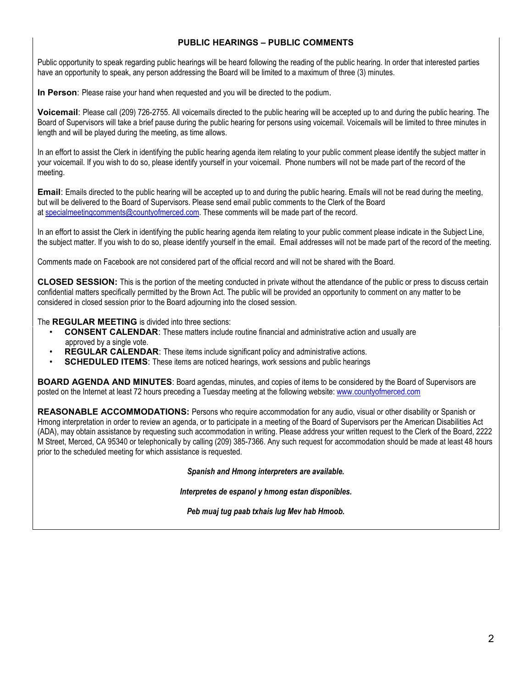#### **PUBLIC HEARINGS – PUBLIC COMMENTS**

Public opportunity to speak regarding public hearings will be heard following the reading of the public hearing. In order that interested parties have an opportunity to speak, any person addressing the Board will be limited to a maximum of three (3) minutes.

**In Person**: Please raise your hand when requested and you will be directed to the podium.

**Voicemail**: Please call (209) 726-2755. All voicemails directed to the public hearing will be accepted up to and during the public hearing. The Board of Supervisors will take a brief pause during the public hearing for persons using voicemail. Voicemails will be limited to three minutes in length and will be played during the meeting, as time allows.

In an effort to assist the Clerk in identifying the public hearing agenda item relating to your public comment please identify the subject matter in your voicemail. If you wish to do so, please identify yourself in your voicemail. Phone numbers will not be made part of the record of the meeting.

**Email**: Emails directed to the public hearing will be accepted up to and during the public hearing. Emails will not be read during the meeting, but will be delivered to the Board of Supervisors. Please send email public comments to the Clerk of the Board at [specialmeetingcomments@countyofmerced.com.](mailto:specialmeetingcomments@countyofmerced.com) These comments will be made part of the record.

In an effort to assist the Clerk in identifying the public hearing agenda item relating to your public comment please indicate in the Subject Line, the subject matter. If you wish to do so, please identify yourself in the email. Email addresses will not be made part of the record of the meeting.

Comments made on Facebook are not considered part of the official record and will not be shared with the Board.

**CLOSED SESSION:** This is the portion of the meeting conducted in private without the attendance of the public or press to discuss certain confidential matters specifically permitted by the Brown Act. The public will be provided an opportunity to comment on any matter to be considered in closed session prior to the Board adjourning into the closed session.

The **REGULAR MEETING** is divided into three sections:

- **CONSENT CALENDAR**: These matters include routine financial and administrative action and usually are approved by a single vote.
- **REGULAR CALENDAR:** These items include significant policy and administrative actions.
- **SCHEDULED ITEMS:** These items are noticed hearings, work sessions and public hearings

**BOARD AGENDA AND MINUTES:** Board agendas, minutes, and copies of items to be considered by the Board of Supervisors are posted on the Internet at least 72 hours preceding a Tuesday meeting at the following website: [www.countyofmerced.com](http://www.countyofmerced.com/) 

**REASONABLE ACCOMMODATIONS:** Persons who require accommodation for any audio, visual or other disability or Spanish or Hmong interpretation in order to review an agenda, or to participate in a meeting of the Board of Supervisors per the American Disabilities Act (ADA), may obtain assistance by requesting such accommodation in writing. Please address your written request to the Clerk of the Board, 2222 M Street, Merced, CA 95340 or telephonically by calling (209) 385-7366. Any such request for accommodation should be made at least 48 hours prior to the scheduled meeting for which assistance is requested.

*Spanish and Hmong interpreters are available.*

*Interpretes de espanol y hmong estan disponibles.*

*Peb muaj tug paab txhais lug Mev hab Hmoob.*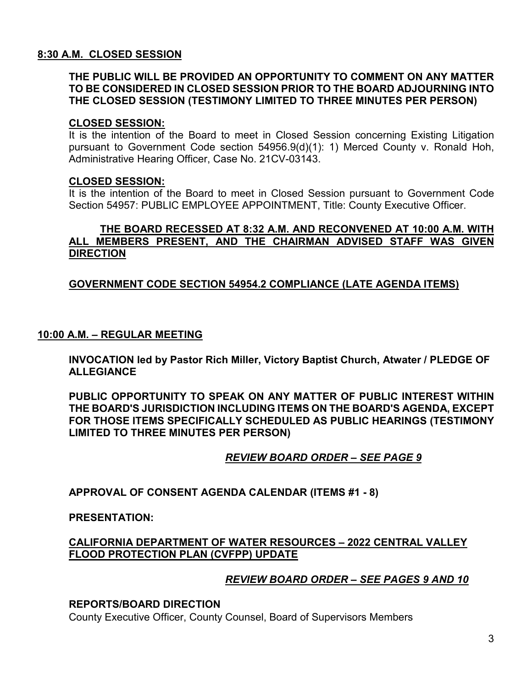#### **8:30 A.M. CLOSED SESSION**

#### **THE PUBLIC WILL BE PROVIDED AN OPPORTUNITY TO COMMENT ON ANY MATTER TO BE CONSIDERED IN CLOSED SESSION PRIOR TO THE BOARD ADJOURNING INTO THE CLOSED SESSION (TESTIMONY LIMITED TO THREE MINUTES PER PERSON)**

#### **CLOSED SESSION:**

It is the intention of the Board to meet in Closed Session concerning Existing Litigation pursuant to Government Code section 54956.9(d)(1): 1) Merced County v. Ronald Hoh, Administrative Hearing Officer, Case No. 21CV-03143.

#### **CLOSED SESSION:**

It is the intention of the Board to meet in Closed Session pursuant to Government Code Section 54957: PUBLIC EMPLOYEE APPOINTMENT, Title: County Executive Officer.

#### **THE BOARD RECESSED AT 8:32 A.M. AND RECONVENED AT 10:00 A.M. WITH ALL MEMBERS PRESENT, AND THE CHAIRMAN ADVISED STAFF WAS GIVEN DIRECTION**

#### **GOVERNMENT CODE SECTION 54954.2 COMPLIANCE (LATE AGENDA ITEMS)**

#### **10:00 A.M. – REGULAR MEETING**

**INVOCATION led by Pastor Rich Miller, Victory Baptist Church, Atwater / PLEDGE OF ALLEGIANCE**

**PUBLIC OPPORTUNITY TO SPEAK ON ANY MATTER OF PUBLIC INTEREST WITHIN THE BOARD'S JURISDICTION INCLUDING ITEMS ON THE BOARD'S AGENDA, EXCEPT FOR THOSE ITEMS SPECIFICALLY SCHEDULED AS PUBLIC HEARINGS (TESTIMONY LIMITED TO THREE MINUTES PER PERSON)**

#### *REVIEW BOARD ORDER – SEE PAGE 9*

**APPROVAL OF CONSENT AGENDA CALENDAR (ITEMS #1 - 8)**

**PRESENTATION:**

#### **CALIFORNIA DEPARTMENT OF WATER RESOURCES – 2022 CENTRAL VALLEY FLOOD PROTECTION PLAN (CVFPP) UPDATE**

#### *REVIEW BOARD ORDER – SEE PAGES 9 AND 10*

#### **REPORTS/BOARD DIRECTION**

County Executive Officer, County Counsel, Board of Supervisors Members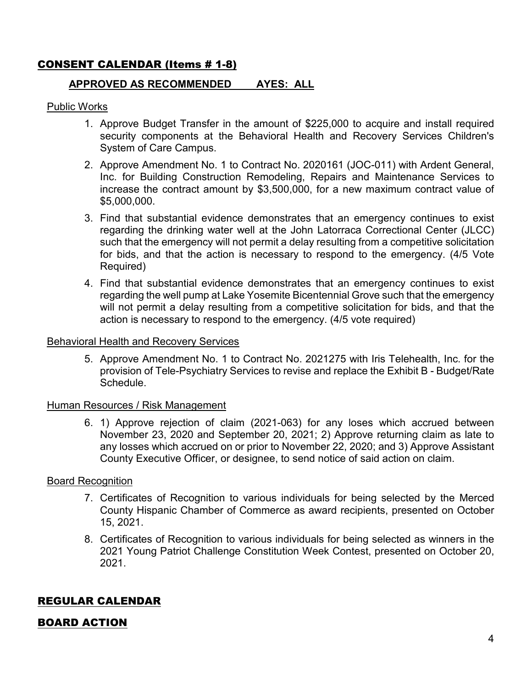# CONSENT CALENDAR (Items # 1-8)

#### **APPROVED AS RECOMMENDED AYES: ALL**

#### Public Works

- 1. Approve Budget Transfer in the amount of \$225,000 to acquire and install required security components at the Behavioral Health and Recovery Services Children's System of Care Campus.
- 2. Approve Amendment No. 1 to Contract No. 2020161 (JOC-011) with Ardent General, Inc. for Building Construction Remodeling, Repairs and Maintenance Services to increase the contract amount by \$3,500,000, for a new maximum contract value of \$5,000,000.
- 3. Find that substantial evidence demonstrates that an emergency continues to exist regarding the drinking water well at the John Latorraca Correctional Center (JLCC) such that the emergency will not permit a delay resulting from a competitive solicitation for bids, and that the action is necessary to respond to the emergency. (4/5 Vote Required)
- 4. Find that substantial evidence demonstrates that an emergency continues to exist regarding the well pump at Lake Yosemite Bicentennial Grove such that the emergency will not permit a delay resulting from a competitive solicitation for bids, and that the action is necessary to respond to the emergency. (4/5 vote required)

#### Behavioral Health and Recovery Services

5. Approve Amendment No. 1 to Contract No. 2021275 with Iris Telehealth, Inc. for the provision of Tele-Psychiatry Services to revise and replace the Exhibit B - Budget/Rate **Schedule** 

#### Human Resources / Risk Management

6. 1) Approve rejection of claim (2021-063) for any loses which accrued between November 23, 2020 and September 20, 2021; 2) Approve returning claim as late to any losses which accrued on or prior to November 22, 2020; and 3) Approve Assistant County Executive Officer, or designee, to send notice of said action on claim.

#### Board Recognition

- 7. Certificates of Recognition to various individuals for being selected by the Merced County Hispanic Chamber of Commerce as award recipients, presented on October 15, 2021.
- 8. Certificates of Recognition to various individuals for being selected as winners in the 2021 Young Patriot Challenge Constitution Week Contest, presented on October 20, 2021.

## REGULAR CALENDAR

## BOARD ACTION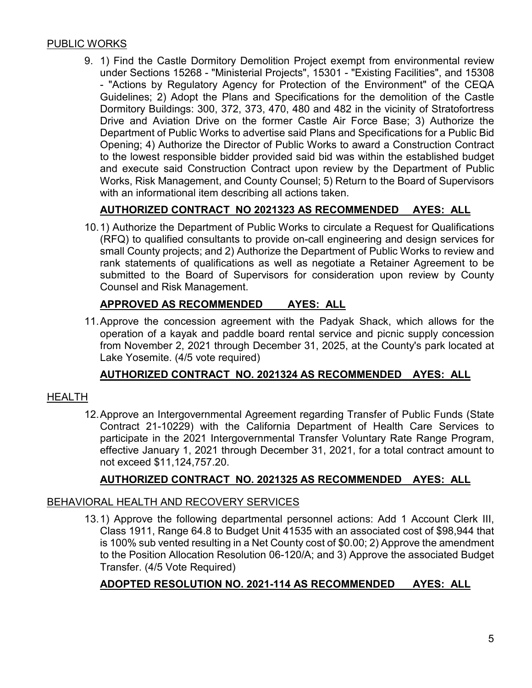## PUBLIC WORKS

9. 1) Find the Castle Dormitory Demolition Project exempt from environmental review under Sections 15268 - "Ministerial Projects", 15301 - "Existing Facilities", and 15308 - "Actions by Regulatory Agency for Protection of the Environment" of the CEQA Guidelines; 2) Adopt the Plans and Specifications for the demolition of the Castle Dormitory Buildings: 300, 372, 373, 470, 480 and 482 in the vicinity of Stratofortress Drive and Aviation Drive on the former Castle Air Force Base; 3) Authorize the Department of Public Works to advertise said Plans and Specifications for a Public Bid Opening; 4) Authorize the Director of Public Works to award a Construction Contract to the lowest responsible bidder provided said bid was within the established budget and execute said Construction Contract upon review by the Department of Public Works, Risk Management, and County Counsel; 5) Return to the Board of Supervisors with an informational item describing all actions taken.

# **AUTHORIZED CONTRACT NO 2021323 AS RECOMMENDED AYES: ALL**

10.1) Authorize the Department of Public Works to circulate a Request for Qualifications (RFQ) to qualified consultants to provide on-call engineering and design services for small County projects; and 2) Authorize the Department of Public Works to review and rank statements of qualifications as well as negotiate a Retainer Agreement to be submitted to the Board of Supervisors for consideration upon review by County Counsel and Risk Management.

## **APPROVED AS RECOMMENDED AYES: ALL**

11.Approve the concession agreement with the Padyak Shack, which allows for the operation of a kayak and paddle board rental service and picnic supply concession from November 2, 2021 through December 31, 2025, at the County's park located at Lake Yosemite. (4/5 vote required)

## **AUTHORIZED CONTRACT NO. 2021324 AS RECOMMENDED AYES: ALL**

#### HEALTH

12.Approve an Intergovernmental Agreement regarding Transfer of Public Funds (State Contract 21-10229) with the California Department of Health Care Services to participate in the 2021 Intergovernmental Transfer Voluntary Rate Range Program, effective January 1, 2021 through December 31, 2021, for a total contract amount to not exceed \$11,124,757.20.

# **AUTHORIZED CONTRACT NO. 2021325 AS RECOMMENDED AYES: ALL**

#### BEHAVIORAL HEALTH AND RECOVERY SERVICES

13.1) Approve the following departmental personnel actions: Add 1 Account Clerk III, Class 1911, Range 64.8 to Budget Unit 41535 with an associated cost of \$98,944 that is 100% sub vented resulting in a Net County cost of \$0.00; 2) Approve the amendment to the Position Allocation Resolution 06-120/A; and 3) Approve the associated Budget Transfer. (4/5 Vote Required)

## **ADOPTED RESOLUTION NO. 2021-114 AS RECOMMENDED AYES: ALL**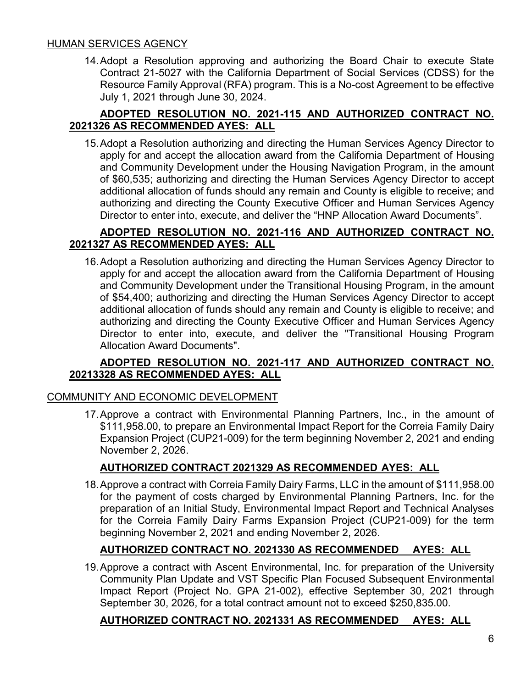#### HUMAN SERVICES AGENCY

14.Adopt a Resolution approving and authorizing the Board Chair to execute State Contract 21-5027 with the California Department of Social Services (CDSS) for the Resource Family Approval (RFA) program. This is a No-cost Agreement to be effective July 1, 2021 through June 30, 2024.

#### **ADOPTED RESOLUTION NO. 2021-115 AND AUTHORIZED CONTRACT NO. 2021326 AS RECOMMENDED AYES: ALL**

15.Adopt a Resolution authorizing and directing the Human Services Agency Director to apply for and accept the allocation award from the California Department of Housing and Community Development under the Housing Navigation Program, in the amount of \$60,535; authorizing and directing the Human Services Agency Director to accept additional allocation of funds should any remain and County is eligible to receive; and authorizing and directing the County Executive Officer and Human Services Agency Director to enter into, execute, and deliver the "HNP Allocation Award Documents".

#### **ADOPTED RESOLUTION NO. 2021-116 AND AUTHORIZED CONTRACT NO. 2021327 AS RECOMMENDED AYES: ALL**

16.Adopt a Resolution authorizing and directing the Human Services Agency Director to apply for and accept the allocation award from the California Department of Housing and Community Development under the Transitional Housing Program, in the amount of \$54,400; authorizing and directing the Human Services Agency Director to accept additional allocation of funds should any remain and County is eligible to receive; and authorizing and directing the County Executive Officer and Human Services Agency Director to enter into, execute, and deliver the "Transitional Housing Program Allocation Award Documents".

#### **ADOPTED RESOLUTION NO. 2021-117 AND AUTHORIZED CONTRACT NO. 20213328 AS RECOMMENDED AYES: ALL**

## COMMUNITY AND ECONOMIC DEVELOPMENT

17.Approve a contract with Environmental Planning Partners, Inc., in the amount of \$111,958.00, to prepare an Environmental Impact Report for the Correia Family Dairy Expansion Project (CUP21-009) for the term beginning November 2, 2021 and ending November 2, 2026.

## **AUTHORIZED CONTRACT 2021329 AS RECOMMENDED AYES: ALL**

18.Approve a contract with Correia Family Dairy Farms, LLC in the amount of \$111,958.00 for the payment of costs charged by Environmental Planning Partners, Inc. for the preparation of an Initial Study, Environmental Impact Report and Technical Analyses for the Correia Family Dairy Farms Expansion Project (CUP21-009) for the term beginning November 2, 2021 and ending November 2, 2026.

## **AUTHORIZED CONTRACT NO. 2021330 AS RECOMMENDED AYES: ALL**

19.Approve a contract with Ascent Environmental, Inc. for preparation of the University Community Plan Update and VST Specific Plan Focused Subsequent Environmental Impact Report (Project No. GPA 21-002), effective September 30, 2021 through September 30, 2026, for a total contract amount not to exceed \$250,835.00.

#### **AUTHORIZED CONTRACT NO. 2021331 AS RECOMMENDED AYES: ALL**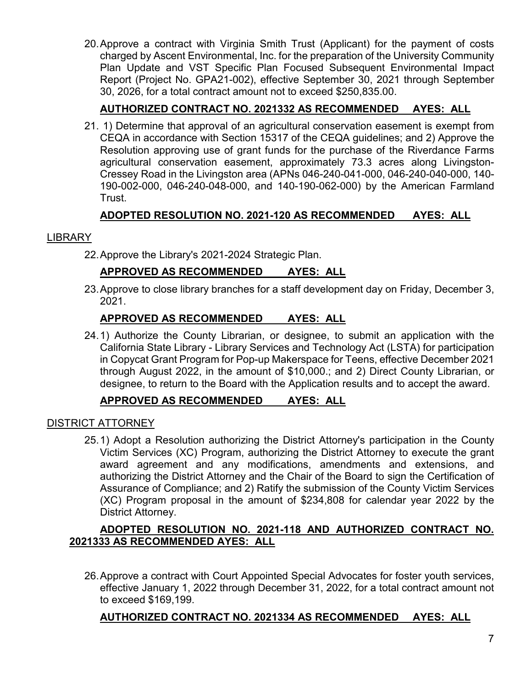20.Approve a contract with Virginia Smith Trust (Applicant) for the payment of costs charged by Ascent Environmental, Inc. for the preparation of the University Community Plan Update and VST Specific Plan Focused Subsequent Environmental Impact Report (Project No. GPA21-002), effective September 30, 2021 through September 30, 2026, for a total contract amount not to exceed \$250,835.00.

# **AUTHORIZED CONTRACT NO. 2021332 AS RECOMMENDED AYES: ALL**

21. 1) Determine that approval of an agricultural conservation easement is exempt from CEQA in accordance with Section 15317 of the CEQA guidelines; and 2) Approve the Resolution approving use of grant funds for the purchase of the Riverdance Farms agricultural conservation easement, approximately 73.3 acres along Livingston-Cressey Road in the Livingston area (APNs 046-240-041-000, 046-240-040-000, 140- 190-002-000, 046-240-048-000, and 140-190-062-000) by the American Farmland Trust.

## **ADOPTED RESOLUTION NO. 2021-120 AS RECOMMENDED AYES: ALL**

#### LIBRARY

22.Approve the Library's 2021-2024 Strategic Plan.

# **APPROVED AS RECOMMENDED AYES: ALL**

23.Approve to close library branches for a staff development day on Friday, December 3, 2021.

## **APPROVED AS RECOMMENDED AYES: ALL**

24.1) Authorize the County Librarian, or designee, to submit an application with the California State Library - Library Services and Technology Act (LSTA) for participation in Copycat Grant Program for Pop-up Makerspace for Teens, effective December 2021 through August 2022, in the amount of \$10,000.; and 2) Direct County Librarian, or designee, to return to the Board with the Application results and to accept the award.

## **APPROVED AS RECOMMENDED AYES: ALL**

#### DISTRICT ATTORNEY

25.1) Adopt a Resolution authorizing the District Attorney's participation in the County Victim Services (XC) Program, authorizing the District Attorney to execute the grant award agreement and any modifications, amendments and extensions, and authorizing the District Attorney and the Chair of the Board to sign the Certification of Assurance of Compliance; and 2) Ratify the submission of the County Victim Services (XC) Program proposal in the amount of \$234,808 for calendar year 2022 by the District Attorney.

## **ADOPTED RESOLUTION NO. 2021-118 AND AUTHORIZED CONTRACT NO. 2021333 AS RECOMMENDED AYES: ALL**

26.Approve a contract with Court Appointed Special Advocates for foster youth services, effective January 1, 2022 through December 31, 2022, for a total contract amount not to exceed \$169,199.

#### **AUTHORIZED CONTRACT NO. 2021334 AS RECOMMENDED AYES: ALL**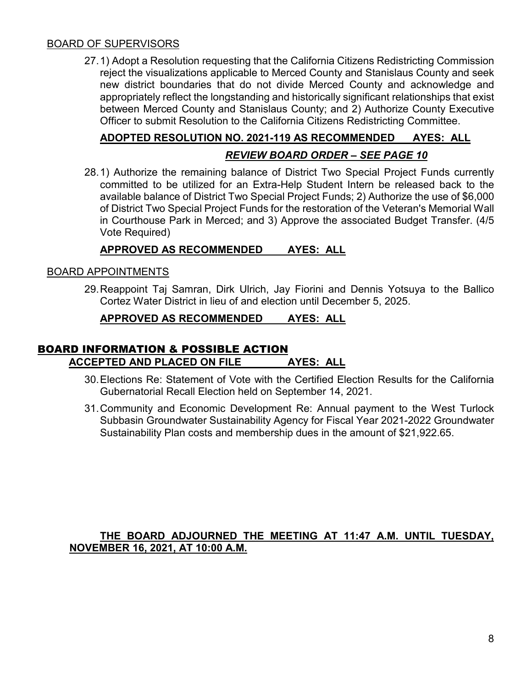#### BOARD OF SUPERVISORS

27.1) Adopt a Resolution requesting that the California Citizens Redistricting Commission reject the visualizations applicable to Merced County and Stanislaus County and seek new district boundaries that do not divide Merced County and acknowledge and appropriately reflect the longstanding and historically significant relationships that exist between Merced County and Stanislaus County; and 2) Authorize County Executive Officer to submit Resolution to the California Citizens Redistricting Committee.

# **ADOPTED RESOLUTION NO. 2021-119 AS RECOMMENDED AYES: ALL**

# *REVIEW BOARD ORDER – SEE PAGE 10*

28.1) Authorize the remaining balance of District Two Special Project Funds currently committed to be utilized for an Extra-Help Student Intern be released back to the available balance of District Two Special Project Funds; 2) Authorize the use of \$6,000 of District Two Special Project Funds for the restoration of the Veteran's Memorial Wall in Courthouse Park in Merced; and 3) Approve the associated Budget Transfer. (4/5 Vote Required)

#### **APPROVED AS RECOMMENDED AYES: ALL**

#### BOARD APPOINTMENTS

29.Reappoint Taj Samran, Dirk Ulrich, Jay Fiorini and Dennis Yotsuya to the Ballico Cortez Water District in lieu of and election until December 5, 2025.

#### **APPROVED AS RECOMMENDED AYES: ALL**

#### BOARD INFORMATION & POSSIBLE ACTION **ACCEPTED AND PLACED ON FILE AYES: ALL**

- 30.Elections Re: Statement of Vote with the Certified Election Results for the California Gubernatorial Recall Election held on September 14, 2021.
- 31.Community and Economic Development Re: Annual payment to the West Turlock Subbasin Groundwater Sustainability Agency for Fiscal Year 2021-2022 Groundwater Sustainability Plan costs and membership dues in the amount of \$21,922.65.

#### **THE BOARD ADJOURNED THE MEETING AT 11:47 A.M. UNTIL TUESDAY, NOVEMBER 16, 2021, AT 10:00 A.M.**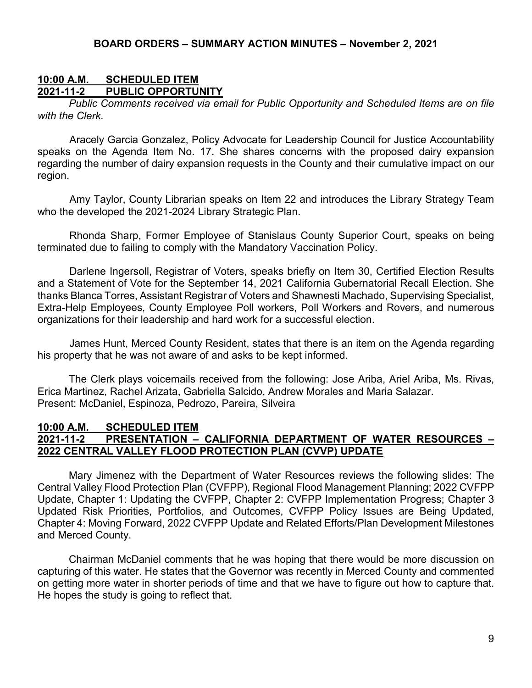#### **10:00 A.M. SCHEDULED ITEM 2021-11-2 PUBLIC OPPORTUNITY**

*Public Comments received via email for Public Opportunity and Scheduled Items are on file with the Clerk.*

Aracely Garcia Gonzalez, Policy Advocate for Leadership Council for Justice Accountability speaks on the Agenda Item No. 17. She shares concerns with the proposed dairy expansion regarding the number of dairy expansion requests in the County and their cumulative impact on our region.

Amy Taylor, County Librarian speaks on Item 22 and introduces the Library Strategy Team who the developed the 2021-2024 Library Strategic Plan.

Rhonda Sharp, Former Employee of Stanislaus County Superior Court, speaks on being terminated due to failing to comply with the Mandatory Vaccination Policy.

Darlene Ingersoll, Registrar of Voters, speaks briefly on Item 30, Certified Election Results and a Statement of Vote for the September 14, 2021 California Gubernatorial Recall Election. She thanks Blanca Torres, Assistant Registrar of Voters and Shawnesti Machado, Supervising Specialist, Extra-Help Employees, County Employee Poll workers, Poll Workers and Rovers, and numerous organizations for their leadership and hard work for a successful election.

James Hunt, Merced County Resident, states that there is an item on the Agenda regarding his property that he was not aware of and asks to be kept informed.

The Clerk plays voicemails received from the following: Jose Ariba, Ariel Ariba, Ms. Rivas, Erica Martinez, Rachel Arizata, Gabriella Salcido, Andrew Morales and Maria Salazar. Present: McDaniel, Espinoza, Pedrozo, Pareira, Silveira

#### **10:00 A.M. SCHEDULED ITEM 2021-11-2 PRESENTATION – CALIFORNIA DEPARTMENT OF WATER RESOURCES – 2022 CENTRAL VALLEY FLOOD PROTECTION PLAN (CVVP) UPDATE**

Mary Jimenez with the Department of Water Resources reviews the following slides: The Central Valley Flood Protection Plan (CVFPP), Regional Flood Management Planning; 2022 CVFPP Update, Chapter 1: Updating the CVFPP, Chapter 2: CVFPP Implementation Progress; Chapter 3 Updated Risk Priorities, Portfolios, and Outcomes, CVFPP Policy Issues are Being Updated, Chapter 4: Moving Forward, 2022 CVFPP Update and Related Efforts/Plan Development Milestones and Merced County.

Chairman McDaniel comments that he was hoping that there would be more discussion on capturing of this water. He states that the Governor was recently in Merced County and commented on getting more water in shorter periods of time and that we have to figure out how to capture that. He hopes the study is going to reflect that.